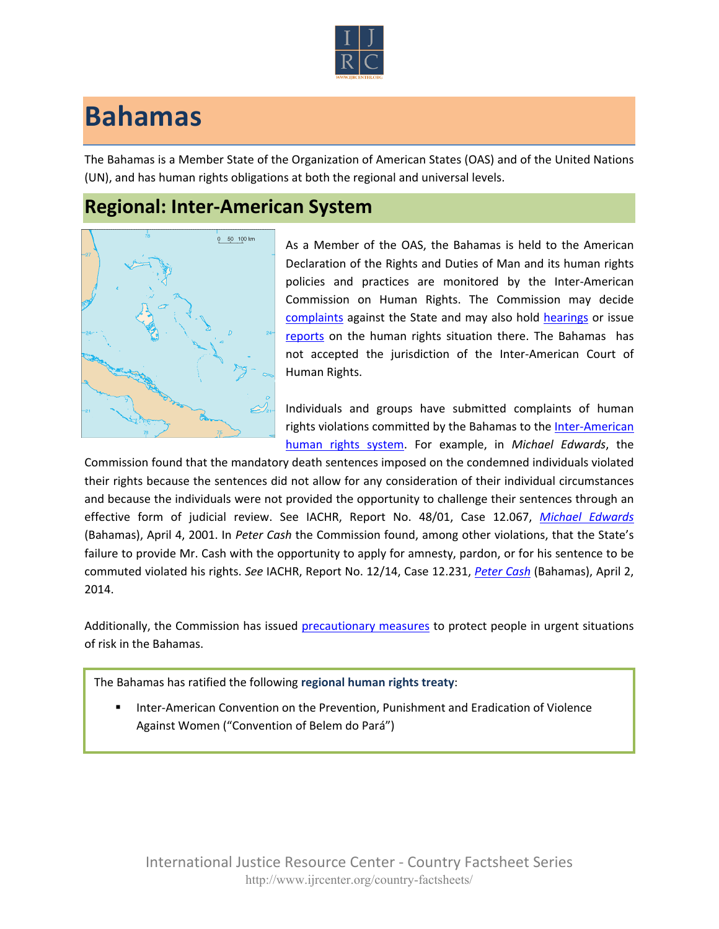

## **Bahamas**

The Bahamas is a Member State of the Organization of American States (OAS) and of the United Nations (UN), and has human rights obligations at both the regional and universal levels.

## **Regional: Inter-American System**



As a Member of the OAS, the Bahamas is held to the American Declaration of the Rights and Duties of Man and its human rights policies and practices are monitored by the Inter-American Commission on Human Rights. The Commission may decide [complaints](http://www.oas.org/en/iachr/decisions/merits.asp) against the State and may also hold [hearings](http://www.oas.org/es/cidh/audiencias/advanced.aspx?lang=en) or issue [reports](http://www.oas.org/en/iachr/reports/country.asp) on the human rights situation there. The Bahamas has not accepted the jurisdiction of the Inter-American Court of Human Rights.

Individuals and groups have submitted complaints of human rights violations committed by the Bahamas to the [Inter-American](http://www.ijrcenter.org/regional/inter-american-system/)  [human rights system](http://www.ijrcenter.org/regional/inter-american-system/). For example, in *Michael Edwards*, the

Commission found that the mandatory death sentences imposed on the condemned individuals violated their rights because the sentences did not allow for any consideration of their individual circumstances and because the individuals were not provided the opportunity to challenge their sentences through an effective form of judicial review. See IACHR, Report No. 48/01, Case 12.067, *[Michael Edwards](http://cidh.org/annualrep/2000eng/ChapterIII/Merits/Bahamas12.067.htm)* (Bahamas), April 4, 2001. In *Peter Cash* the Commission found, among other violations, that the State's failure to provide Mr. Cash with the opportunity to apply for amnesty, pardon, or for his sentence to be commuted violated his rights. *See* IACHR, Report No. 12/14, Case 12.231, *[Peter Cash](http://www.oas.org/en/iachr/decisions/2014/BAPU12231EN.pdf)* (Bahamas), April 2, 2014.

Additionally, the Commission has issued [precautionary measures](http://www.oas.org/en/iachr/decisions/precautionary.asp) to protect people in urgent situations of risk in the Bahamas.

The Bahamas has ratified the following **regional human rights treaty**:

 Inter-American Convention on the Prevention, Punishment and Eradication of Violence Against Women ("Convention of Belem do Pará")